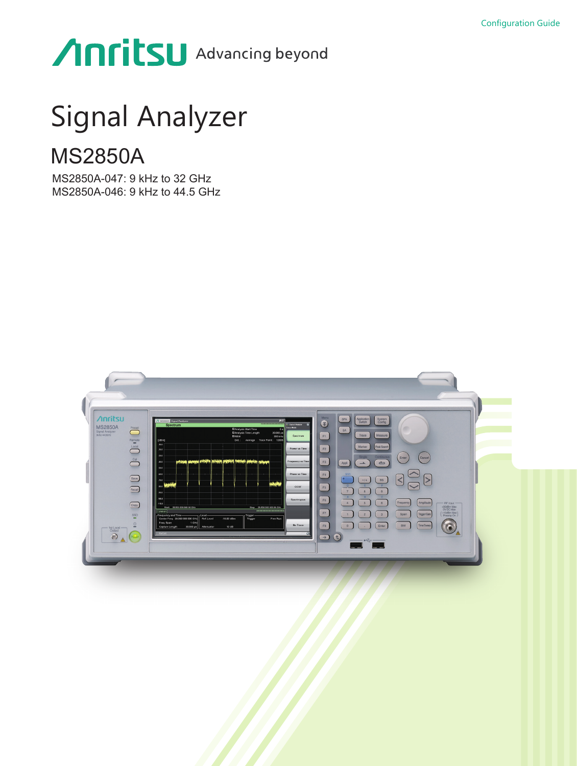# Anritsu Advancing beyond

# Signal Analyzer

# MS2850A

MS2850A-047: 9 kHz to 32 GHz MS2850A-046: 9 kHz to 44.5 GHz

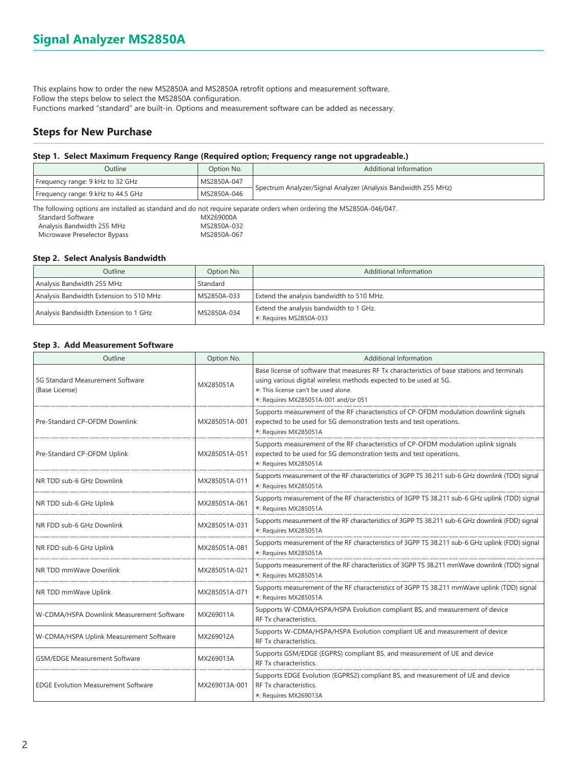This explains how to order the new MS2850A and MS2850A retrofit options and measurement software. Follow the steps below to select the MS2850A configuration. Functions marked "standard" are built-in. Options and measurement software can be added as necessary.

# **Steps for New Purchase**

#### **Step 1. Select Maximum Frequency Range (Required option; Frequency range not upgradeable.)**

| Outline                                                                                                                                                                                              | Additional Information<br>Option No. |                                                                |  |  |  |
|------------------------------------------------------------------------------------------------------------------------------------------------------------------------------------------------------|--------------------------------------|----------------------------------------------------------------|--|--|--|
| Frequency range: 9 kHz to 32 GHz                                                                                                                                                                     | MS2850A-047                          | Spectrum Analyzer/Signal Analyzer (Analysis Bandwidth 255 MHz) |  |  |  |
| Frequency range: 9 kHz to 44.5 GHz                                                                                                                                                                   | MS2850A-046                          |                                                                |  |  |  |
| The following options are installed as standard and do not require separate orders when ordering the MS2850A-046/047.<br>Standard Software<br>MX269000A<br>Analysis Bandwidth 255 MHz<br>MS2850A-032 |                                      |                                                                |  |  |  |

Microwave Preselector Bypass MS2850A-067

### **Step 2. Select Analysis Bandwidth**

| Outline                                 | Option No.  | Additional Information                    |  |  |  |  |  |
|-----------------------------------------|-------------|-------------------------------------------|--|--|--|--|--|
| Analysis Bandwidth 255 MHz              | Standard    |                                           |  |  |  |  |  |
| Analysis Bandwidth Extension to 510 MHz | MS2850A-033 | Extend the analysis bandwidth to 510 MHz. |  |  |  |  |  |
| Analysis Bandwidth Extension to 1 GHz   | MS2850A-034 | Extend the analysis bandwidth to 1 GHz.   |  |  |  |  |  |
|                                         |             | $\star$ : Requires MS2850A-033            |  |  |  |  |  |

#### **Step 3. Add Measurement Software**

| Outline                                            | Option No.    | <b>Additional Information</b>                                                                                                                                                                                                                    |
|----------------------------------------------------|---------------|--------------------------------------------------------------------------------------------------------------------------------------------------------------------------------------------------------------------------------------------------|
| 5G Standard Measurement Software<br>(Base License) | MX285051A     | Base license of software that measures RF Tx characteristics of base stations and terminals<br>using various digital wireless methods expected to be used at 5G.<br>*: This license can't be used alone.<br>*: Requires MX285051A-001 and/or 051 |
| Pre-Standard CP-OFDM Downlink                      | MX285051A-001 | Supports measurement of the RF characteristics of CP-OFDM modulation downlink signals<br>expected to be used for 5G demonstration tests and test operations.<br>*: Requires MX285051A                                                            |
| Pre-Standard CP-OFDM Uplink                        | MX285051A-051 | Supports measurement of the RF characteristics of CP-OFDM modulation uplink signals<br>expected to be used for 5G demonstration tests and test operations.<br>*: Requires MX285051A                                                              |
| NR TDD sub-6 GHz Downlink                          | MX285051A-011 | Supports measurement of the RF characteristics of 3GPP TS 38.211 sub-6 GHz downlink (TDD) signal<br>*: Requires MX285051A                                                                                                                        |
| NR TDD sub-6 GHz Uplink                            | MX285051A-061 | Supports measurement of the RF characteristics of 3GPP TS 38.211 sub-6 GHz uplink (TDD) signal<br>*: Requires MX285051A                                                                                                                          |
| NR FDD sub-6 GHz Downlink                          | MX285051A-031 | Supports measurement of the RF characteristics of 3GPP TS 38.211 sub-6 GHz downlink (FDD) signal<br>*: Requires MX285051A                                                                                                                        |
| NR FDD sub-6 GHz Uplink                            | MX285051A-081 | Supports measurement of the RF characteristics of 3GPP TS 38.211 sub-6 GHz uplink (FDD) signal<br>*: Requires MX285051A                                                                                                                          |
| NR TDD mmWave Downlink                             | MX285051A-021 | Supports measurement of the RF characteristics of 3GPP TS 38.211 mmWave downlink (TDD) signal<br>*: Requires MX285051A                                                                                                                           |
| NR TDD mmWave Uplink                               | MX285051A-071 | Supports measurement of the RF characteristics of 3GPP TS 38.211 mmWave uplink (TDD) signal<br>*: Requires MX285051A                                                                                                                             |
| W-CDMA/HSPA Downlink Measurement Software          | MX269011A     | Supports W-CDMA/HSPA/HSPA Evolution compliant BS, and measurement of device<br>RF Tx characteristics.                                                                                                                                            |
| W-CDMA/HSPA Uplink Measurement Software            | MX269012A     | Supports W-CDMA/HSPA/HSPA Evolution compliant UE and measurement of device<br>RF Tx characteristics.                                                                                                                                             |
| <b>GSM/EDGE Measurement Software</b>               | MX269013A     | Supports GSM/EDGE (EGPRS) compliant BS, and measurement of UE and device<br>RF Tx characteristics.                                                                                                                                               |
| <b>EDGE Evolution Measurement Software</b>         | MX269013A-001 | Supports EDGE Evolution (EGPRS2) compliant BS, and measurement of UE and device<br>RF Tx characteristics.<br>*: Requires MX269013A                                                                                                               |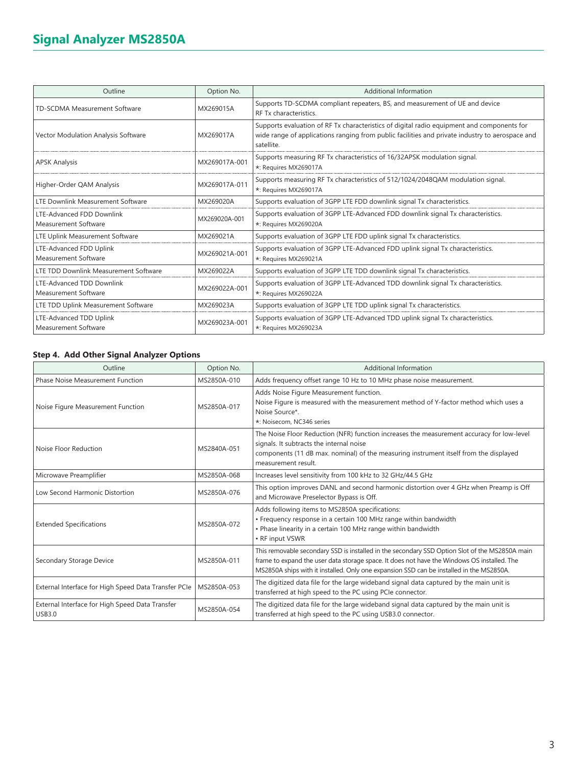| Outline                                                | Option No.    | Additional Information                                                                                                                                                                                      |
|--------------------------------------------------------|---------------|-------------------------------------------------------------------------------------------------------------------------------------------------------------------------------------------------------------|
| <b>TD-SCDMA Measurement Software</b>                   | MX269015A     | Supports TD-SCDMA compliant repeaters, BS, and measurement of UE and device<br>RF Tx characteristics.                                                                                                       |
| Vector Modulation Analysis Software                    | MX269017A     | Supports evaluation of RF Tx characteristics of digital radio equipment and components for<br>wide range of applications ranging from public facilities and private industry to aerospace and<br>satellite. |
| <b>APSK Analysis</b>                                   | MX269017A-001 | Supports measuring RF Tx characteristics of 16/32APSK modulation signal.<br>*: Requires MX269017A                                                                                                           |
| Higher-Order QAM Analysis                              | MX269017A-011 | Supports measuring RF Tx characteristics of 512/1024/2048QAM modulation signal.<br>*: Requires MX269017A                                                                                                    |
| LTE Downlink Measurement Software                      | MX269020A     | Supports evaluation of 3GPP LTE FDD downlink signal Tx characteristics.                                                                                                                                     |
| LTE-Advanced FDD Downlink<br>Measurement Software      | MX269020A-001 | Supports evaluation of 3GPP LTE-Advanced FDD downlink signal Tx characteristics.<br>*: Requires MX269020A                                                                                                   |
| LTE Uplink Measurement Software                        | MX269021A     | Supports evaluation of 3GPP LTE FDD uplink signal Tx characteristics.                                                                                                                                       |
| LTE-Advanced FDD Uplink<br><b>Measurement Software</b> | MX269021A-001 | Supports evaluation of 3GPP LTE-Advanced FDD uplink signal Tx characteristics.<br>*: Requires MX269021A                                                                                                     |
| LTE TDD Downlink Measurement Software                  | MX269022A     | Supports evaluation of 3GPP LTE TDD downlink signal Tx characteristics.                                                                                                                                     |
| LTE-Advanced TDD Downlink<br>Measurement Software      | MX269022A-001 | Supports evaluation of 3GPP LTE-Advanced TDD downlink signal Tx characteristics.<br>*: Requires MX269022A                                                                                                   |
| LTE TDD Uplink Measurement Software                    | MX269023A     | Supports evaluation of 3GPP LTE TDD uplink signal Tx characteristics.                                                                                                                                       |
| LTE-Advanced TDD Uplink<br><b>Measurement Software</b> | MX269023A-001 | Supports evaluation of 3GPP LTE-Advanced TDD uplink signal Tx characteristics.<br>*: Requires MX269023A                                                                                                     |

# **Step 4. Add Other Signal Analyzer Options**

| Outline                                                          | Option No.  | Additional Information                                                                                                                                                                                                                                                                    |
|------------------------------------------------------------------|-------------|-------------------------------------------------------------------------------------------------------------------------------------------------------------------------------------------------------------------------------------------------------------------------------------------|
| <b>Phase Noise Measurement Function</b>                          | MS2850A-010 | Adds frequency offset range 10 Hz to 10 MHz phase noise measurement.                                                                                                                                                                                                                      |
| Noise Figure Measurement Function                                | MS2850A-017 | Adds Noise Figure Measurement function.<br>Noise Figure is measured with the measurement method of Y-factor method which uses a<br>Noise Source*.<br>*: Noisecom, NC346 series                                                                                                            |
| Noise Floor Reduction                                            | MS2840A-051 | The Noise Floor Reduction (NFR) function increases the measurement accuracy for low-level<br>signals. It subtracts the internal noise<br>components (11 dB max. nominal) of the measuring instrument itself from the displayed<br>measurement result.                                     |
| Microwave Preamplifier                                           | MS2850A-068 | Increases level sensitivity from 100 kHz to 32 GHz/44.5 GHz                                                                                                                                                                                                                               |
| Low Second Harmonic Distortion                                   | MS2850A-076 | This option improves DANL and second harmonic distortion over 4 GHz when Preamp is Off<br>and Microwave Preselector Bypass is Off.                                                                                                                                                        |
| <b>Extended Specifications</b>                                   | MS2850A-072 | Adds following items to MS2850A specifications:<br>• Frequency response in a certain 100 MHz range within bandwidth<br>• Phase linearity in a certain 100 MHz range within bandwidth<br>• RF input VSWR                                                                                   |
| Secondary Storage Device                                         | MS2850A-011 | This removable secondary SSD is installed in the secondary SSD Option Slot of the MS2850A main<br>frame to expand the user data storage space. It does not have the Windows OS installed. The<br>MS2850A ships with it installed. Only one expansion SSD can be installed in the MS2850A. |
| External Interface for High Speed Data Transfer PCIe             | MS2850A-053 | The digitized data file for the large wideband signal data captured by the main unit is<br>transferred at high speed to the PC using PCIe connector.                                                                                                                                      |
| External Interface for High Speed Data Transfer<br><b>USB3.0</b> | MS2850A-054 | The digitized data file for the large wideband signal data captured by the main unit is<br>transferred at high speed to the PC using USB3.0 connector.                                                                                                                                    |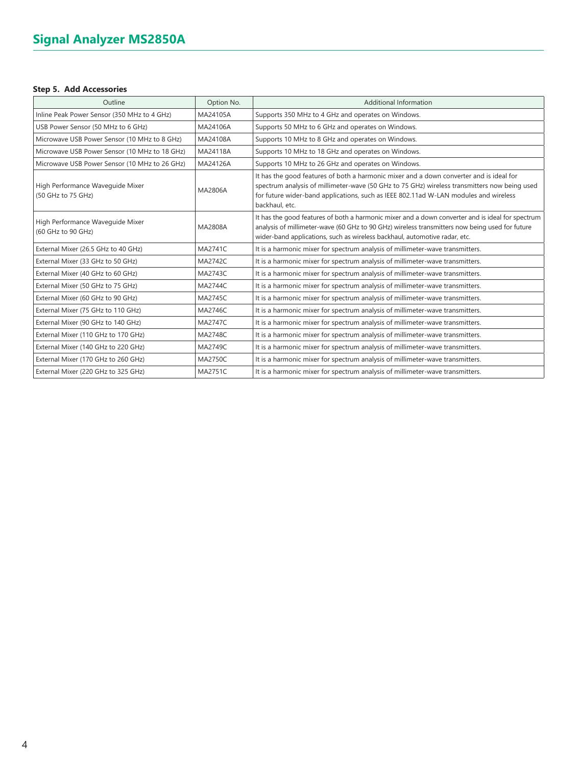# **Step 5. Add Accessories**

| Outline                                                | Option No.     | <b>Additional Information</b>                                                                                                                                                                                                                                                                     |
|--------------------------------------------------------|----------------|---------------------------------------------------------------------------------------------------------------------------------------------------------------------------------------------------------------------------------------------------------------------------------------------------|
| Inline Peak Power Sensor (350 MHz to 4 GHz)            | MA24105A       | Supports 350 MHz to 4 GHz and operates on Windows.                                                                                                                                                                                                                                                |
| USB Power Sensor (50 MHz to 6 GHz)                     | MA24106A       | Supports 50 MHz to 6 GHz and operates on Windows.                                                                                                                                                                                                                                                 |
| Microwave USB Power Sensor (10 MHz to 8 GHz)           | MA24108A       | Supports 10 MHz to 8 GHz and operates on Windows.                                                                                                                                                                                                                                                 |
| Microwave USB Power Sensor (10 MHz to 18 GHz)          | MA24118A       | Supports 10 MHz to 18 GHz and operates on Windows.                                                                                                                                                                                                                                                |
| Microwave USB Power Sensor (10 MHz to 26 GHz)          | MA24126A       | Supports 10 MHz to 26 GHz and operates on Windows.                                                                                                                                                                                                                                                |
| High Performance Wavequide Mixer<br>(50 GHz to 75 GHz) | MA2806A        | It has the good features of both a harmonic mixer and a down converter and is ideal for<br>spectrum analysis of millimeter-wave (50 GHz to 75 GHz) wireless transmitters now being used<br>for future wider-band applications, such as IEEE 802.11ad W-LAN modules and wireless<br>backhaul, etc. |
| High Performance Wavequide Mixer<br>(60 GHz to 90 GHz) | MA2808A        | It has the good features of both a harmonic mixer and a down converter and is ideal for spectrum<br>analysis of millimeter-wave (60 GHz to 90 GHz) wireless transmitters now being used for future<br>wider-band applications, such as wireless backhaul, automotive radar, etc.                  |
| External Mixer (26.5 GHz to 40 GHz)                    | MA2741C        | It is a harmonic mixer for spectrum analysis of millimeter-wave transmitters.                                                                                                                                                                                                                     |
| External Mixer (33 GHz to 50 GHz)                      | <b>MA2742C</b> | It is a harmonic mixer for spectrum analysis of millimeter-wave transmitters.                                                                                                                                                                                                                     |
| External Mixer (40 GHz to 60 GHz)                      | MA2743C        | It is a harmonic mixer for spectrum analysis of millimeter-wave transmitters.                                                                                                                                                                                                                     |
| External Mixer (50 GHz to 75 GHz)                      | MA2744C        | It is a harmonic mixer for spectrum analysis of millimeter-wave transmitters.                                                                                                                                                                                                                     |
| External Mixer (60 GHz to 90 GHz)                      | <b>MA2745C</b> | It is a harmonic mixer for spectrum analysis of millimeter-wave transmitters.                                                                                                                                                                                                                     |
| External Mixer (75 GHz to 110 GHz)                     | MA2746C        | It is a harmonic mixer for spectrum analysis of millimeter-wave transmitters.                                                                                                                                                                                                                     |
| External Mixer (90 GHz to 140 GHz)                     | <b>MA2747C</b> | It is a harmonic mixer for spectrum analysis of millimeter-wave transmitters.                                                                                                                                                                                                                     |
| External Mixer (110 GHz to 170 GHz)                    | <b>MA2748C</b> | It is a harmonic mixer for spectrum analysis of millimeter-wave transmitters.                                                                                                                                                                                                                     |
| External Mixer (140 GHz to 220 GHz)                    | MA2749C        | It is a harmonic mixer for spectrum analysis of millimeter-wave transmitters.                                                                                                                                                                                                                     |
| External Mixer (170 GHz to 260 GHz)                    | MA2750C        | It is a harmonic mixer for spectrum analysis of millimeter-wave transmitters.                                                                                                                                                                                                                     |
| External Mixer (220 GHz to 325 GHz)                    | <b>MA2751C</b> | It is a harmonic mixer for spectrum analysis of millimeter-wave transmitters.                                                                                                                                                                                                                     |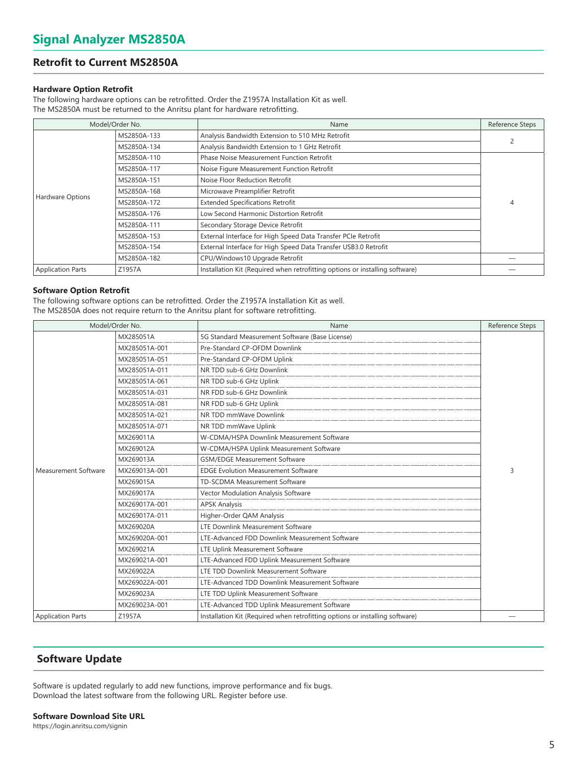# **Retrofit to Current MS2850A**

#### **Hardware Option Retrofit**

The following hardware options can be retrofitted. Order the Z1957A Installation Kit as well. The MS2850A must be returned to the Anritsu plant for hardware retrofitting.

| Model/Order No.          |             | Name                                                                         | Reference Steps |  |
|--------------------------|-------------|------------------------------------------------------------------------------|-----------------|--|
|                          | MS2850A-133 | 2                                                                            |                 |  |
|                          | MS2850A-134 | Analysis Bandwidth Extension to 1 GHz Retrofit                               |                 |  |
|                          | MS2850A-110 | <b>Phase Noise Measurement Function Retrofit</b>                             |                 |  |
|                          | MS2850A-117 | Noise Figure Measurement Function Retrofit                                   |                 |  |
|                          | MS2850A-151 | Noise Floor Reduction Retrofit                                               |                 |  |
|                          | MS2850A-168 | Microwave Preamplifier Retrofit                                              |                 |  |
| Hardware Options         | MS2850A-172 | <b>Extended Specifications Retrofit</b>                                      | 4               |  |
|                          | MS2850A-176 | Low Second Harmonic Distortion Retrofit                                      |                 |  |
|                          | MS2850A-111 | Secondary Storage Device Retrofit                                            |                 |  |
|                          | MS2850A-153 | External Interface for High Speed Data Transfer PCIe Retrofit                |                 |  |
|                          | MS2850A-154 | External Interface for High Speed Data Transfer USB3.0 Retrofit              |                 |  |
|                          | MS2850A-182 | CPU/Windows10 Upgrade Retrofit                                               |                 |  |
| <b>Application Parts</b> | Z1957A      | Installation Kit (Required when retrofitting options or installing software) |                 |  |

#### **Software Option Retrofit**

The following software options can be retrofitted. Order the Z1957A Installation Kit as well. The MS2850A does not require return to the Anritsu plant for software retrofitting.

| Model/Order No.             |               | Name                                                                         | Reference Steps |
|-----------------------------|---------------|------------------------------------------------------------------------------|-----------------|
|                             | MX285051A     | 5G Standard Measurement Software (Base License)                              |                 |
|                             | MX285051A-001 | Pre-Standard CP-OFDM Downlink                                                |                 |
|                             | MX285051A-051 | Pre-Standard CP-OFDM Uplink                                                  |                 |
|                             | MX285051A-011 | NR TDD sub-6 GHz Downlink                                                    |                 |
|                             | MX285051A-061 | NR TDD sub-6 GHz Uplink                                                      |                 |
|                             | MX285051A-031 | NR FDD sub-6 GHz Downlink                                                    |                 |
|                             | MX285051A-081 | NR FDD sub-6 GHz Uplink                                                      |                 |
|                             | MX285051A-021 | NR TDD mmWave Downlink                                                       |                 |
|                             | MX285051A-071 | NR TDD mmWave Uplink                                                         |                 |
|                             | MX269011A     | W-CDMA/HSPA Downlink Measurement Software                                    |                 |
|                             | MX269012A     | W-CDMA/HSPA Uplink Measurement Software                                      |                 |
|                             | MX269013A     | <b>GSM/EDGE Measurement Software</b>                                         |                 |
| <b>Measurement Software</b> | MX269013A-001 | <b>EDGE Evolution Measurement Software</b>                                   | 3               |
|                             | MX269015A     | TD-SCDMA Measurement Software                                                |                 |
|                             | MX269017A     | Vector Modulation Analysis Software                                          |                 |
|                             | MX269017A-001 | <b>APSK Analysis</b>                                                         |                 |
|                             | MX269017A-011 | Higher-Order QAM Analysis                                                    |                 |
|                             | MX269020A     | LTE Downlink Measurement Software                                            |                 |
|                             | MX269020A-001 | LTE-Advanced FDD Downlink Measurement Software                               |                 |
|                             | MX269021A     | LTE Uplink Measurement Software                                              |                 |
|                             | MX269021A-001 | LTE-Advanced FDD Uplink Measurement Software                                 |                 |
|                             | MX269022A     | LTE TDD Downlink Measurement Software                                        |                 |
|                             | MX269022A-001 | LTE-Advanced TDD Downlink Measurement Software                               |                 |
|                             | MX269023A     | LTE TDD Uplink Measurement Software                                          |                 |
|                             | MX269023A-001 | LTE-Advanced TDD Uplink Measurement Software                                 |                 |
| <b>Application Parts</b>    | Z1957A        | Installation Kit (Required when retrofitting options or installing software) |                 |

# **Software Update**

Software is updated regularly to add new functions, improve performance and fix bugs. Download the latest software from the following URL. Register before use.

#### **Software Download Site URL**

https://login.anritsu.com/signin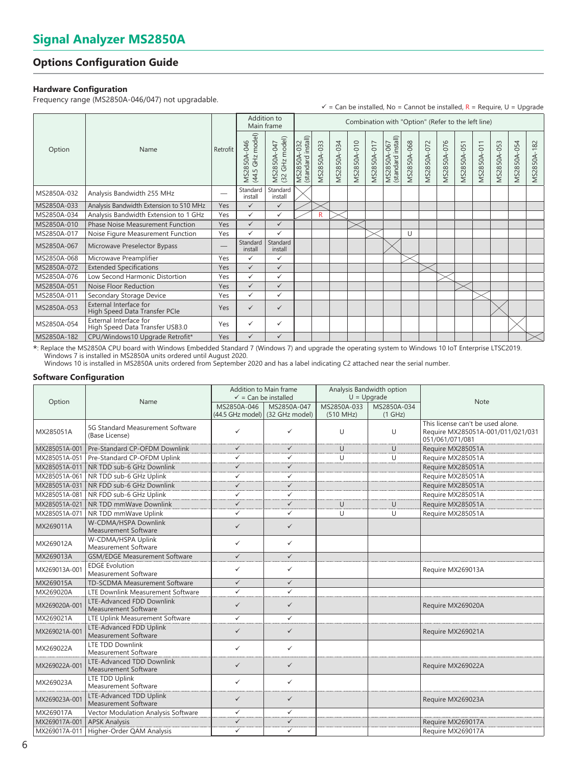# **Options Configuration Guide**

### **Hardware Configuration**

Frequency range (MS2850A-046/047) not upgradable.

|                |                                                           |          |                                                 |                                        |                                                        |                    |             |                    |             |                                   |             |             |                    |                    |                    |             | $\checkmark$ = Can be installed, No = Cannot be installed, R = Require, U = Upgrade |             |
|----------------|-----------------------------------------------------------|----------|-------------------------------------------------|----------------------------------------|--------------------------------------------------------|--------------------|-------------|--------------------|-------------|-----------------------------------|-------------|-------------|--------------------|--------------------|--------------------|-------------|-------------------------------------------------------------------------------------|-------------|
| Option<br>Name |                                                           |          | Addition to<br>Main frame                       |                                        | Combination with "Option" (Refer to the left line)     |                    |             |                    |             |                                   |             |             |                    |                    |                    |             |                                                                                     |             |
|                |                                                           | Retrofit | $(44.5 \text{ GHz model})$<br>$-046$<br>MS2850A | model)<br>MS2850A-047<br>(32 GHz model | install)<br>$\sim$<br>$-03$<br>MS2850A-<br>(standard i | <b>MS2850A-033</b> | MS2850A-034 | <b>MS2850A-010</b> | MS2850A-017 | MS2850A-067<br>(standard install) | MS2850A-068 | MS2850A-072 | <b>MS2850A-076</b> | <b>MS2850A-051</b> | <b>MS2850A-011</b> | MS2850A-053 | MS2850A-054                                                                         | MS2850A-182 |
| MS2850A-032    | Analysis Bandwidth 255 MHz                                | -        | Standard<br>install                             | Standard<br>install                    |                                                        |                    |             |                    |             |                                   |             |             |                    |                    |                    |             |                                                                                     |             |
| MS2850A-033    | Analysis Bandwidth Extension to 510 MHz                   | Yes      | $\checkmark$                                    | $\checkmark$                           |                                                        |                    |             |                    |             |                                   |             |             |                    |                    |                    |             |                                                                                     |             |
| MS2850A-034    | Analysis Bandwidth Extension to 1 GHz                     | Yes      | $\checkmark$                                    | ✓                                      |                                                        | R                  |             |                    |             |                                   |             |             |                    |                    |                    |             |                                                                                     |             |
| MS2850A-010    | <b>Phase Noise Measurement Function</b>                   | Yes      | $\checkmark$                                    | $\checkmark$                           |                                                        |                    |             |                    |             |                                   |             |             |                    |                    |                    |             |                                                                                     |             |
| MS2850A-017    | Noise Figure Measurement Function                         | Yes      | ✓                                               | ✓                                      |                                                        |                    |             |                    |             |                                   | U           |             |                    |                    |                    |             |                                                                                     |             |
| MS2850A-067    | Microwave Preselector Bypass                              |          | Standard<br>install                             | Standard<br>install                    |                                                        |                    |             |                    |             |                                   |             |             |                    |                    |                    |             |                                                                                     |             |
| MS2850A-068    | Microwave Preamplifier                                    | Yes      | ✓                                               | ✓                                      |                                                        |                    |             |                    |             |                                   |             |             |                    |                    |                    |             |                                                                                     |             |
| MS2850A-072    | <b>Extended Specifications</b>                            | Yes      | $\checkmark$                                    | $\checkmark$                           |                                                        |                    |             |                    |             |                                   |             |             |                    |                    |                    |             |                                                                                     |             |
| MS2850A-076    | Low Second Harmonic Distortion                            | Yes      | ✓                                               | $\checkmark$                           |                                                        |                    |             |                    |             |                                   |             |             |                    |                    |                    |             |                                                                                     |             |
| MS2850A-051    | Noise Floor Reduction                                     | Yes      | $\checkmark$                                    | $\checkmark$                           |                                                        |                    |             |                    |             |                                   |             |             |                    |                    |                    |             |                                                                                     |             |
| MS2850A-011    | Secondary Storage Device                                  | Yes      | ✓                                               | ✓                                      |                                                        |                    |             |                    |             |                                   |             |             |                    |                    |                    |             |                                                                                     |             |
| MS2850A-053    | External Interface for<br>High Speed Data Transfer PCIe   | Yes      | ✓                                               | ✓                                      |                                                        |                    |             |                    |             |                                   |             |             |                    |                    |                    |             |                                                                                     |             |
| MS2850A-054    | External Interface for<br>High Speed Data Transfer USB3.0 | Yes      | ✓                                               | ✓                                      |                                                        |                    |             |                    |             |                                   |             |             |                    |                    |                    |             |                                                                                     |             |
| MS2850A-182    | CPU/Windows10 Upgrade Retrofit*                           | Yes      | $\checkmark$                                    | $\checkmark$                           |                                                        |                    |             |                    |             |                                   |             |             |                    |                    |                    |             |                                                                                     |             |

\*: Replace the MS2850A CPU board with Windows Embedded Standard 7 (Windows 7) and upgrade the operating system to Windows 10 IoT Enterprise LTSC2019. Windows 7 is installed in MS2850A units ordered until August 2020.

Windows 10 is installed in MS2850A units ordered from September 2020 and has a label indicating C2 attached near the serial number.

#### **Software Configuration**

|               |                                                          | Addition to Main frame<br>$\checkmark$ = Can be installed |              |                          | Analysis Bandwidth option<br>$U = Upgrade$ |                                                                                           |  |
|---------------|----------------------------------------------------------|-----------------------------------------------------------|--------------|--------------------------|--------------------------------------------|-------------------------------------------------------------------------------------------|--|
| Option        | Name                                                     | MS2850A-046<br>(44.5 GHz model) (32 GHz model)            | MS2850A-047  | MS2850A-033<br>(510 MHz) | MS2850A-034<br>(1 GHz)                     | <b>Note</b>                                                                               |  |
| MX285051A     | 5G Standard Measurement Software<br>(Base License)       | $\checkmark$                                              | ✓            | U                        | U                                          | This license can't be used alone.<br>Require MX285051A-001/011/021/031<br>051/061/071/081 |  |
| MX285051A-001 | Pre-Standard CP-OFDM Downlink                            | $\checkmark$                                              | $\checkmark$ | U                        | U                                          | Require MX285051A                                                                         |  |
| MX285051A-051 | Pre-Standard CP-OFDM Uplink                              | ✓                                                         | ✓            | U                        | U                                          | Require MX285051A                                                                         |  |
| MX285051A-011 | NR TDD sub-6 GHz Downlink                                | $\checkmark$                                              | $\checkmark$ |                          |                                            | Require MX285051A                                                                         |  |
| MX285051A-061 | NR TDD sub-6 GHz Uplink                                  | ✓                                                         | ✓            |                          |                                            | Require MX285051A                                                                         |  |
| MX285051A-031 | NR FDD sub-6 GHz Downlink                                | $\checkmark$                                              | ✓            |                          |                                            | Require MX285051A                                                                         |  |
| MX285051A-081 | NR FDD sub-6 GHz Uplink                                  | ✓                                                         | ✓            |                          |                                            | Require MX285051A                                                                         |  |
| MX285051A-021 | NR TDD mmWave Downlink                                   | $\checkmark$                                              | $\checkmark$ | $\cup$                   | U                                          | Require MX285051A                                                                         |  |
| MX285051A-071 | NR TDD mmWave Uplink                                     | ✓                                                         | ✓            | U                        | U                                          | Require MX285051A                                                                         |  |
| MX269011A     | W-CDMA/HSPA Downlink<br><b>Measurement Software</b>      | $\checkmark$                                              | $\checkmark$ |                          |                                            |                                                                                           |  |
| MX269012A     | W-CDMA/HSPA Uplink<br>Measurement Software               | $\checkmark$                                              | $\checkmark$ |                          |                                            |                                                                                           |  |
| MX269013A     | <b>GSM/EDGE Measurement Software</b>                     | $\checkmark$                                              | $\checkmark$ |                          |                                            |                                                                                           |  |
| MX269013A-001 | <b>EDGE</b> Evolution<br>Measurement Software            | ✓                                                         | ✓            |                          |                                            | Require MX269013A                                                                         |  |
| MX269015A     | TD-SCDMA Measurement Software                            | $\checkmark$                                              | $\checkmark$ |                          |                                            |                                                                                           |  |
| MX269020A     | LTE Downlink Measurement Software                        | $\checkmark$                                              | ✓            |                          |                                            |                                                                                           |  |
| MX269020A-001 | LTE-Advanced FDD Downlink<br><b>Measurement Software</b> | $\checkmark$                                              | $\checkmark$ |                          |                                            | Require MX269020A                                                                         |  |
| MX269021A     | LTE Uplink Measurement Software                          | ✓                                                         | ✓            |                          |                                            |                                                                                           |  |
| MX269021A-001 | LTE-Advanced FDD Uplink<br><b>Measurement Software</b>   | $\checkmark$                                              | $\checkmark$ |                          |                                            | Require MX269021A                                                                         |  |
| MX269022A     | <b>LTE TDD Downlink</b><br>Measurement Software          | $\checkmark$                                              | ✓            |                          |                                            |                                                                                           |  |
| MX269022A-001 | LTE-Advanced TDD Downlink<br>Measurement Software        | $\checkmark$                                              | $\checkmark$ |                          |                                            | Require MX269022A                                                                         |  |
| MX269023A     | LTE TDD Uplink<br>Measurement Software                   | ✓                                                         | ✓            |                          |                                            |                                                                                           |  |
| MX269023A-001 | LTE-Advanced TDD Uplink<br><b>Measurement Software</b>   | $\checkmark$                                              | $\checkmark$ |                          |                                            | Require MX269023A                                                                         |  |
| MX269017A     | Vector Modulation Analysis Software                      | $\checkmark$                                              | $\checkmark$ |                          |                                            |                                                                                           |  |
| MX269017A-001 | <b>APSK Analysis</b>                                     | $\checkmark$                                              | $\checkmark$ |                          |                                            | Require MX269017A                                                                         |  |
| MX269017A-011 | Higher-Order QAM Analysis                                | ✓                                                         | ✓            |                          |                                            | Require MX269017A                                                                         |  |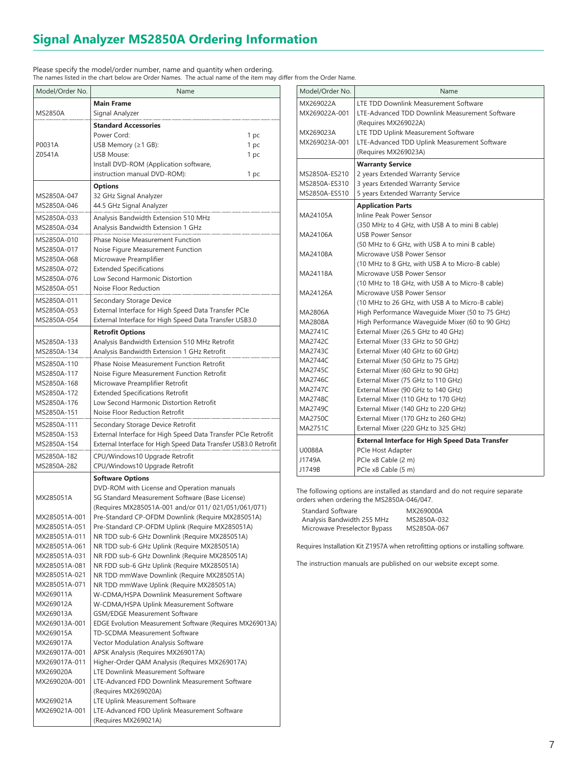# **Signal Analyzer MS2850A Ordering Information**

Please specify the model/order number, name and quantity when ordering. The names listed in the chart below are Order Names. The actual name of the item may differ from the Order Name.

| Model/Order No.                | Name                                                                                         |
|--------------------------------|----------------------------------------------------------------------------------------------|
|                                | <b>Main Frame</b>                                                                            |
| <b>MS2850A</b>                 | Signal Analyzer                                                                              |
|                                | <b>Standard Accessories</b>                                                                  |
|                                | Power Cord:<br>1 pc                                                                          |
| P0031A                         | USB Memory (≥1 GB):<br>1 pc                                                                  |
| Z0541A                         | <b>USB Mouse:</b><br>1 pc                                                                    |
|                                | Install DVD-ROM (Application software,                                                       |
|                                | instruction manual DVD-ROM):<br>1 pc                                                         |
|                                | <b>Options</b>                                                                               |
| MS2850A-047                    | 32 GHz Signal Analyzer                                                                       |
| MS2850A-046                    | 44.5 GHz Signal Analyzer                                                                     |
| MS2850A-033                    | Analysis Bandwidth Extension 510 MHz                                                         |
| MS2850A-034                    | Analysis Bandwidth Extension 1 GHz                                                           |
| MS2850A-010                    | <b>Phase Noise Measurement Function</b>                                                      |
| MS2850A-017                    | Noise Figure Measurement Function                                                            |
| MS2850A-068<br>MS2850A-072     | Microwave Preamplifier<br><b>Extended Specifications</b>                                     |
| MS2850A-076                    | Low Second Harmonic Distortion                                                               |
| MS2850A-051                    | Noise Floor Reduction                                                                        |
| MS2850A-011                    | Secondary Storage Device                                                                     |
| MS2850A-053                    | External Interface for High Speed Data Transfer PCIe                                         |
| MS2850A-054                    | External Interface for High Speed Data Transfer USB3.0                                       |
|                                | <b>Retrofit Options</b>                                                                      |
| MS2850A-133                    | Analysis Bandwidth Extension 510 MHz Retrofit                                                |
| MS2850A-134                    | Analysis Bandwidth Extension 1 GHz Retrofit                                                  |
| MS2850A-110                    | Phase Noise Measurement Function Retrofit                                                    |
| MS2850A-117                    | Noise Figure Measurement Function Retrofit                                                   |
| MS2850A-168                    | Microwave Preamplifier Retrofit                                                              |
| MS2850A-172                    | <b>Extended Specifications Retrofit</b>                                                      |
| MS2850A-176                    | Low Second Harmonic Distortion Retrofit                                                      |
| MS2850A-151                    | Noise Floor Reduction Retrofit                                                               |
| MS2850A-111                    | Secondary Storage Device Retrofit                                                            |
| MS2850A-153                    | External Interface for High Speed Data Transfer PCIe Retrofit                                |
| MS2850A-154                    | External Interface for High Speed Data Transfer USB3.0 Retrofit                              |
| MS2850A-182<br>MS2850A-282     | CPU/Windows10 Upgrade Retrofit<br>CPU/Windows10 Upgrade Retrofit                             |
|                                |                                                                                              |
|                                | <b>Software Options</b><br>DVD-ROM with License and Operation manuals                        |
| MX285051A                      | 5G Standard Measurement Software (Base License)                                              |
|                                | (Requires MX285051A-001 and/or 011/ 021/051/061/071)                                         |
| MX285051A-001                  | Pre-Standard CP-OFDM Downlink (Require MX285051A)                                            |
| MX285051A-051                  | Pre-Standard CP-OFDM Uplink (Require MX285051A)                                              |
| MX285051A-011                  | NR TDD sub-6 GHz Downlink (Require MX285051A)                                                |
| MX285051A-061                  | NR TDD sub-6 GHz Uplink (Require MX285051A)                                                  |
| MX285051A-031<br>MX285051A-081 | NR FDD sub-6 GHz Downlink (Require MX285051A)<br>NR FDD sub-6 GHz Uplink (Require MX285051A) |
| MX285051A-021                  | NR TDD mmWave Downlink (Require MX285051A)                                                   |
| MX285051A-071                  | NR TDD mmWave Uplink (Require MX285051A)                                                     |
| MX269011A                      | W-CDMA/HSPA Downlink Measurement Software                                                    |
| MX269012A                      | W-CDMA/HSPA Uplink Measurement Software                                                      |
| MX269013A                      | <b>GSM/EDGE Measurement Software</b>                                                         |
| MX269013A-001                  | EDGE Evolution Measurement Software (Requires MX269013A)                                     |
| MX269015A                      | TD-SCDMA Measurement Software                                                                |
| MX269017A                      | Vector Modulation Analysis Software                                                          |
| MX269017A-001<br>MX269017A-011 | APSK Analysis (Requires MX269017A)<br>Higher-Order QAM Analysis (Requires MX269017A)         |
| MX269020A                      | LTE Downlink Measurement Software                                                            |
| MX269020A-001                  | LTE-Advanced FDD Downlink Measurement Software                                               |
|                                | (Requires MX269020A)                                                                         |
| MX269021A                      | LTE Uplink Measurement Software                                                              |
| MX269021A-001                  | LTE-Advanced FDD Uplink Measurement Software                                                 |
|                                | (Requires MX269021A)                                                                         |

| Model/Order No. | Name                                                   |
|-----------------|--------------------------------------------------------|
| MX269022A       | LTE TDD Downlink Measurement Software                  |
| MX269022A-001   | LTE-Advanced TDD Downlink Measurement Software         |
|                 | (Requires MX269022A)                                   |
| MX269023A       | LTE TDD Uplink Measurement Software                    |
| MX269023A-001   | LTE-Advanced TDD Uplink Measurement Software           |
|                 | (Requires MX269023A)                                   |
|                 | <b>Warranty Service</b>                                |
| MS2850A-ES210   | 2 years Extended Warranty Service                      |
| MS2850A-ES310   | 3 years Extended Warranty Service                      |
| MS2850A-ES510   | 5 years Extended Warranty Service                      |
|                 | <b>Application Parts</b>                               |
| MA24105A        | Inline Peak Power Sensor                               |
|                 | (350 MHz to 4 GHz, with USB A to mini B cable)         |
| MA24106A        | <b>USB Power Sensor</b>                                |
|                 | (50 MHz to 6 GHz, with USB A to mini B cable)          |
| MA24108A        | Microwave USB Power Sensor                             |
|                 | (10 MHz to 8 GHz, with USB A to Micro-B cable)         |
| MA24118A        | Microwave USB Power Sensor                             |
|                 | (10 MHz to 18 GHz, with USB A to Micro-B cable)        |
| MA24126A        | Microwave USB Power Sensor                             |
|                 | (10 MHz to 26 GHz, with USB A to Micro-B cable)        |
| MA2806A         | High Performance Waveguide Mixer (50 to 75 GHz)        |
| MA2808A         | High Performance Waveguide Mixer (60 to 90 GHz)        |
| MA2741C         | External Mixer (26.5 GHz to 40 GHz)                    |
| <b>MA2742C</b>  | External Mixer (33 GHz to 50 GHz)                      |
| MA2743C         | External Mixer (40 GHz to 60 GHz)                      |
| MA2744C         | External Mixer (50 GHz to 75 GHz)                      |
| MA2745C         | External Mixer (60 GHz to 90 GHz)                      |
| MA2746C         | External Mixer (75 GHz to 110 GHz)                     |
| <b>MA2747C</b>  | External Mixer (90 GHz to 140 GHz)                     |
| MA2748C         | External Mixer (110 GHz to 170 GHz)                    |
| MA2749C         | External Mixer (140 GHz to 220 GHz)                    |
| <b>MA2750C</b>  | External Mixer (170 GHz to 260 GHz)                    |
| <b>MA2751C</b>  | External Mixer (220 GHz to 325 GHz)                    |
|                 | <b>External Interface for High Speed Data Transfer</b> |
| U0088A          | PCIe Host Adapter                                      |
| J1749A          | PCIe x8 Cable (2 m)                                    |
| J1749B          | PCIe x8 Cable (5 m)                                    |

The following options are installed as standard and do not require separate orders when ordering the MS2850A-046/047.

| <b>Standard Software</b>     | MX269000A   |
|------------------------------|-------------|
| Analysis Bandwidth 255 MHz   | MS2850A-032 |
| Microwave Preselector Bypass | MS2850A-067 |

Requires Installation Kit Z1957A when retrofitting options or installing software.

The instruction manuals are published on our website except some.